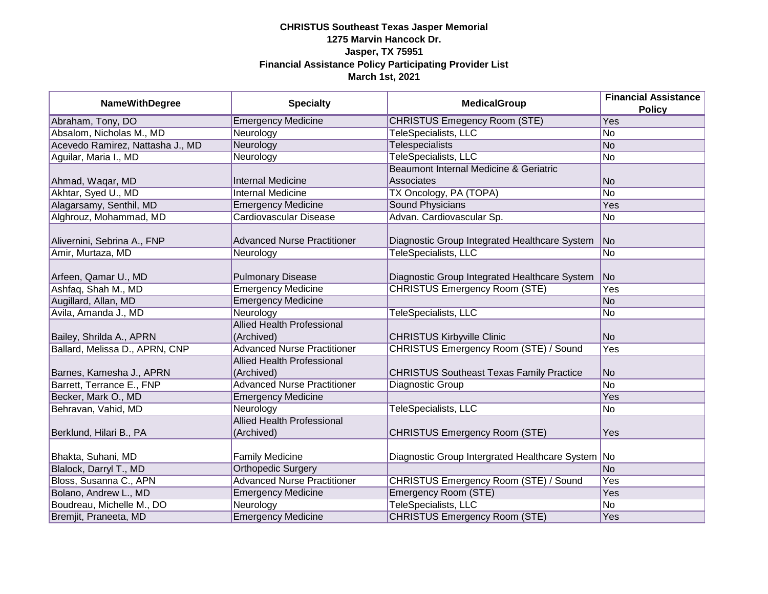| <b>NameWithDegree</b>            | <b>Specialty</b>                   | <b>MedicalGroup</b>                               | <b>Financial Assistance</b><br><b>Policy</b> |
|----------------------------------|------------------------------------|---------------------------------------------------|----------------------------------------------|
| Abraham, Tony, DO                | <b>Emergency Medicine</b>          | <b>CHRISTUS Emegency Room (STE)</b>               | Yes                                          |
| Absalom, Nicholas M., MD         | Neurology                          | <b>TeleSpecialists, LLC</b>                       | No                                           |
| Acevedo Ramirez, Nattasha J., MD | Neurology                          | <b>Telespecialists</b>                            | No                                           |
| Aguilar, Maria I., MD            | Neurology                          | TeleSpecialists, LLC                              | No                                           |
|                                  |                                    | Beaumont Internal Medicine & Geriatric            |                                              |
| Ahmad, Waqar, MD                 | <b>Internal Medicine</b>           | <b>Associates</b>                                 | No                                           |
| Akhtar, Syed U., MD              | <b>Internal Medicine</b>           | TX Oncology, PA (TOPA)                            | No                                           |
| Alagarsamy, Senthil, MD          | <b>Emergency Medicine</b>          | Sound Physicians                                  | Yes                                          |
| Alghrouz, Mohammad, MD           | Cardiovascular Disease             | Advan. Cardiovascular Sp.                         | No                                           |
|                                  |                                    |                                                   |                                              |
| Alivernini, Sebrina A., FNP      | <b>Advanced Nurse Practitioner</b> | Diagnostic Group Integrated Healthcare System     | No                                           |
| Amir, Murtaza, MD                | Neurology                          | <b>TeleSpecialists, LLC</b>                       | No                                           |
| Arfeen, Qamar U., MD             | <b>Pulmonary Disease</b>           | Diagnostic Group Integrated Healthcare System     | <b>No</b>                                    |
| Ashfaq, Shah M., MD              | <b>Emergency Medicine</b>          | <b>CHRISTUS Emergency Room (STE)</b>              | Yes                                          |
| Augillard, Allan, MD             | <b>Emergency Medicine</b>          |                                                   | No                                           |
| Avila, Amanda J., MD             | Neurology                          | <b>TeleSpecialists, LLC</b>                       | No                                           |
|                                  | <b>Allied Health Professional</b>  |                                                   |                                              |
| Bailey, Shrilda A., APRN         | (Archived)                         | <b>CHRISTUS Kirbyville Clinic</b>                 | No                                           |
| Ballard, Melissa D., APRN, CNP   | <b>Advanced Nurse Practitioner</b> | <b>CHRISTUS Emergency Room (STE) / Sound</b>      | Yes                                          |
|                                  | <b>Allied Health Professional</b>  |                                                   |                                              |
| Barnes, Kamesha J., APRN         | (Archived)                         | <b>CHRISTUS Southeast Texas Family Practice</b>   | No                                           |
| Barrett, Terrance E., FNP        | <b>Advanced Nurse Practitioner</b> | Diagnostic Group                                  | No                                           |
| Becker, Mark O., MD              | <b>Emergency Medicine</b>          |                                                   | Yes                                          |
| Behravan, Vahid, MD              | Neurology                          | <b>TeleSpecialists, LLC</b>                       | No                                           |
|                                  | <b>Allied Health Professional</b>  |                                                   |                                              |
| Berklund, Hilari B., PA          | (Archived)                         | <b>CHRISTUS Emergency Room (STE)</b>              | Yes                                          |
|                                  |                                    |                                                   |                                              |
| Bhakta, Suhani, MD               | <b>Family Medicine</b>             | Diagnostic Group Intergrated Healthcare System No |                                              |
| Blalock, Darryl T., MD           | <b>Orthopedic Surgery</b>          |                                                   | No                                           |
| Bloss, Susanna C., APN           | <b>Advanced Nurse Practitioner</b> | CHRISTUS Emergency Room (STE) / Sound             | <b>Yes</b>                                   |
| Bolano, Andrew L., MD            | <b>Emergency Medicine</b>          | <b>Emergency Room (STE)</b>                       | Yes                                          |
| Boudreau, Michelle M., DO        | Neurology                          | TeleSpecialists, LLC                              | No                                           |
| Bremjit, Praneeta, MD            | <b>Emergency Medicine</b>          | <b>CHRISTUS Emergency Room (STE)</b>              | Yes                                          |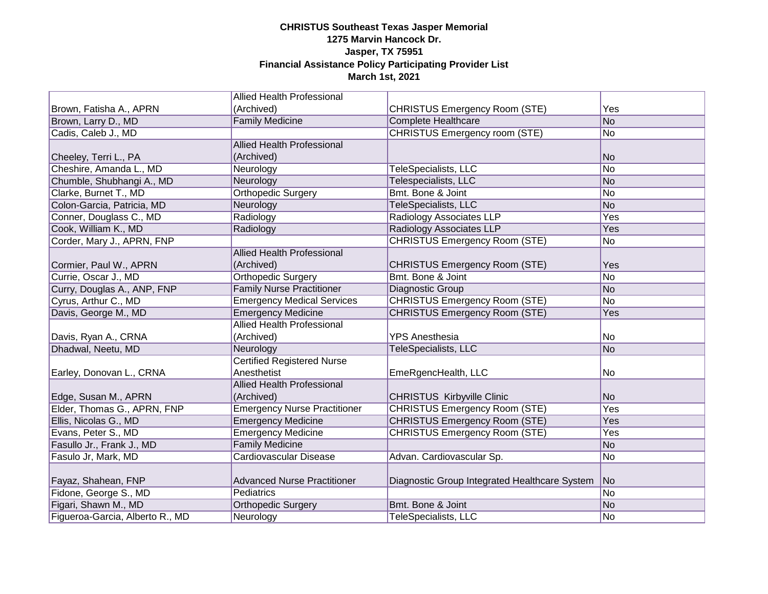|                                 | <b>Allied Health Professional</b>   |                                               |           |
|---------------------------------|-------------------------------------|-----------------------------------------------|-----------|
| Brown, Fatisha A., APRN         | (Archived)                          | CHRISTUS Emergency Room (STE)                 | Yes       |
| Brown, Larry D., MD             | <b>Family Medicine</b>              | <b>Complete Healthcare</b>                    | No        |
| Cadis, Caleb J., MD             |                                     | <b>CHRISTUS Emergency room (STE)</b>          | No        |
|                                 | <b>Allied Health Professional</b>   |                                               |           |
| Cheeley, Terri L., PA           | (Archived)                          |                                               | No        |
| Cheshire, Amanda L., MD         | Neurology                           | TeleSpecialists, LLC                          | No        |
| Chumble, Shubhangi A., MD       | Neurology                           | Telespecialists, LLC                          | No        |
| Clarke, Burnet T., MD           | <b>Orthopedic Surgery</b>           | Bmt. Bone & Joint                             | No        |
| Colon-Garcia, Patricia, MD      | Neurology                           | TeleSpecialists, LLC                          | No        |
| Conner, Douglass C., MD         | Radiology                           | Radiology Associates LLP                      | Yes       |
| Cook, William K., MD            | Radiology                           | <b>Radiology Associates LLP</b>               | Yes       |
| Corder, Mary J., APRN, FNP      |                                     | <b>CHRISTUS Emergency Room (STE)</b>          | No        |
|                                 | <b>Allied Health Professional</b>   |                                               |           |
| Cormier, Paul W., APRN          | (Archived)                          | <b>CHRISTUS Emergency Room (STE)</b>          | Yes       |
| Currie, Oscar J., MD            | Orthopedic Surgery                  | Bmt. Bone & Joint                             | No        |
| Curry, Douglas A., ANP, FNP     | <b>Family Nurse Practitioner</b>    | Diagnostic Group                              | No        |
| Cyrus, Arthur C., MD            | <b>Emergency Medical Services</b>   | <b>CHRISTUS Emergency Room (STE)</b>          | No        |
| Davis, George M., MD            | <b>Emergency Medicine</b>           | <b>CHRISTUS Emergency Room (STE)</b>          | Yes       |
|                                 | <b>Allied Health Professional</b>   |                                               |           |
| Davis, Ryan A., CRNA            | (Archived)                          | <b>YPS Anesthesia</b>                         | No.       |
| Dhadwal, Neetu, MD              | Neurology                           | TeleSpecialists, LLC                          | No        |
|                                 | <b>Certified Registered Nurse</b>   |                                               |           |
| Earley, Donovan L., CRNA        | Anesthetist                         | EmeRgencHealth, LLC                           | No        |
|                                 | <b>Allied Health Professional</b>   |                                               |           |
| Edge, Susan M., APRN            | (Archived)                          | <b>CHRISTUS Kirbyville Clinic</b>             | <b>No</b> |
| Elder, Thomas G., APRN, FNP     | <b>Emergency Nurse Practitioner</b> | <b>CHRISTUS Emergency Room (STE)</b>          | Yes       |
| Ellis, Nicolas G., MD           | <b>Emergency Medicine</b>           | <b>CHRISTUS Emergency Room (STE)</b>          | Yes       |
| Evans, Peter S., MD             | <b>Emergency Medicine</b>           | <b>CHRISTUS Emergency Room (STE)</b>          | Yes       |
| Fasullo Jr., Frank J., MD       | <b>Family Medicine</b>              |                                               | No        |
| Fasulo Jr, Mark, MD             | Cardiovascular Disease              | Advan. Cardiovascular Sp.                     | No        |
|                                 |                                     |                                               |           |
| Fayaz, Shahean, FNP             | <b>Advanced Nurse Practitioner</b>  | Diagnostic Group Integrated Healthcare System | No        |
| Fidone, George S., MD           | Pediatrics                          |                                               | No        |
| Figari, Shawn M., MD            | <b>Orthopedic Surgery</b>           | Bmt. Bone & Joint                             | No        |
| Figueroa-Garcia, Alberto R., MD | Neurology                           | TeleSpecialists, LLC                          | No        |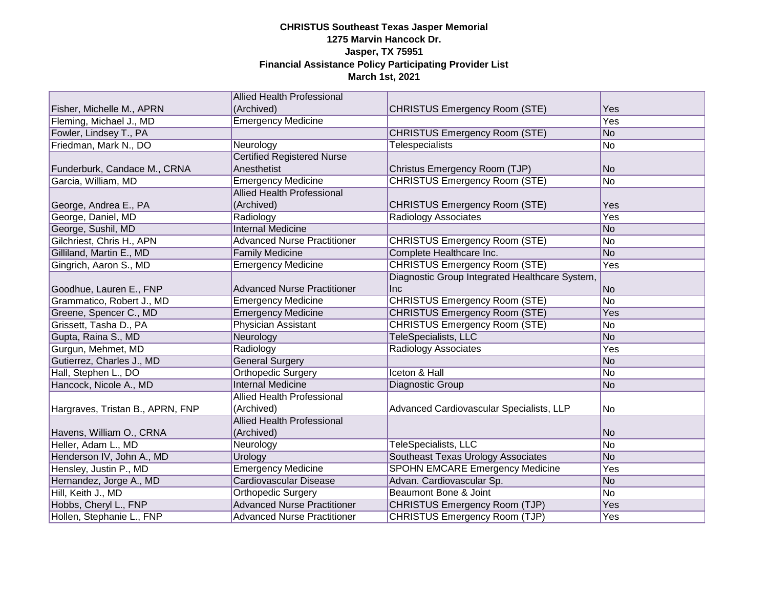|                                  | <b>Allied Health Professional</b>  |                                                |            |
|----------------------------------|------------------------------------|------------------------------------------------|------------|
| Fisher, Michelle M., APRN        | (Archived)                         | <b>CHRISTUS Emergency Room (STE)</b>           | Yes        |
| Fleming, Michael J., MD          | <b>Emergency Medicine</b>          |                                                | <b>Yes</b> |
| Fowler, Lindsey T., PA           |                                    | <b>CHRISTUS Emergency Room (STE)</b>           | No         |
| Friedman, Mark N., DO            | Neurology                          | <b>Telespecialists</b>                         | No         |
|                                  | <b>Certified Registered Nurse</b>  |                                                |            |
| Funderburk, Candace M., CRNA     | Anesthetist                        | Christus Emergency Room (TJP)                  | lNo.       |
| Garcia, William, MD              | <b>Emergency Medicine</b>          | <b>CHRISTUS Emergency Room (STE)</b>           | No         |
|                                  | <b>Allied Health Professional</b>  |                                                |            |
| George, Andrea E., PA            | (Archived)                         | <b>CHRISTUS Emergency Room (STE)</b>           | Yes        |
| George, Daniel, MD               | Radiology                          | Radiology Associates                           | Yes        |
| George, Sushil, MD               | <b>Internal Medicine</b>           |                                                | No         |
| Gilchriest, Chris H., APN        | <b>Advanced Nurse Practitioner</b> | <b>CHRISTUS Emergency Room (STE)</b>           | No         |
| Gilliland, Martin E., MD         | <b>Family Medicine</b>             | Complete Healthcare Inc.                       | No         |
| Gingrich, Aaron S., MD           | <b>Emergency Medicine</b>          | <b>CHRISTUS Emergency Room (STE)</b>           | Yes        |
|                                  |                                    | Diagnostic Group Integrated Healthcare System, |            |
| Goodhue, Lauren E., FNP          | <b>Advanced Nurse Practitioner</b> | Inc                                            | No         |
| Grammatico, Robert J., MD        | <b>Emergency Medicine</b>          | <b>CHRISTUS Emergency Room (STE)</b>           | No         |
| Greene, Spencer C., MD           | <b>Emergency Medicine</b>          | <b>CHRISTUS Emergency Room (STE)</b>           | Yes        |
| Grissett, Tasha D., PA           | Physician Assistant                | <b>CHRISTUS Emergency Room (STE)</b>           | No         |
| Gupta, Raina S., MD              | Neurology                          | <b>TeleSpecialists, LLC</b>                    | No         |
| Gurgun, Mehmet, MD               | Radiology                          | <b>Radiology Associates</b>                    | Yes        |
| Gutierrez, Charles J., MD        | <b>General Surgery</b>             |                                                | No         |
| Hall, Stephen L., DO             | <b>Orthopedic Surgery</b>          | <b>Iceton &amp; Hall</b>                       | No         |
| Hancock, Nicole A., MD           | <b>Internal Medicine</b>           | Diagnostic Group                               | No         |
|                                  | Allied Health Professional         |                                                |            |
| Hargraves, Tristan B., APRN, FNP | (Archived)                         | Advanced Cardiovascular Specialists, LLP       | No         |
|                                  | <b>Allied Health Professional</b>  |                                                |            |
| Havens, William O., CRNA         | (Archived)                         |                                                | No         |
| Heller, Adam L., MD              | Neurology                          | <b>TeleSpecialists, LLC</b>                    | No         |
| Henderson IV, John A., MD        | Urology                            | Southeast Texas Urology Associates             | No         |
| Hensley, Justin P., MD           | <b>Emergency Medicine</b>          | <b>SPOHN EMCARE Emergency Medicine</b>         | Yes        |
| Hernandez, Jorge A., MD          | Cardiovascular Disease             | Advan. Cardiovascular Sp.                      | No         |
| Hill, Keith J., MD               | <b>Orthopedic Surgery</b>          | Beaumont Bone & Joint                          | No         |
| Hobbs, Cheryl L., FNP            | <b>Advanced Nurse Practitioner</b> | <b>CHRISTUS Emergency Room (TJP)</b>           | Yes        |
| Hollen, Stephanie L., FNP        | <b>Advanced Nurse Practitioner</b> | CHRISTUS Emergency Room (TJP)                  | Yes        |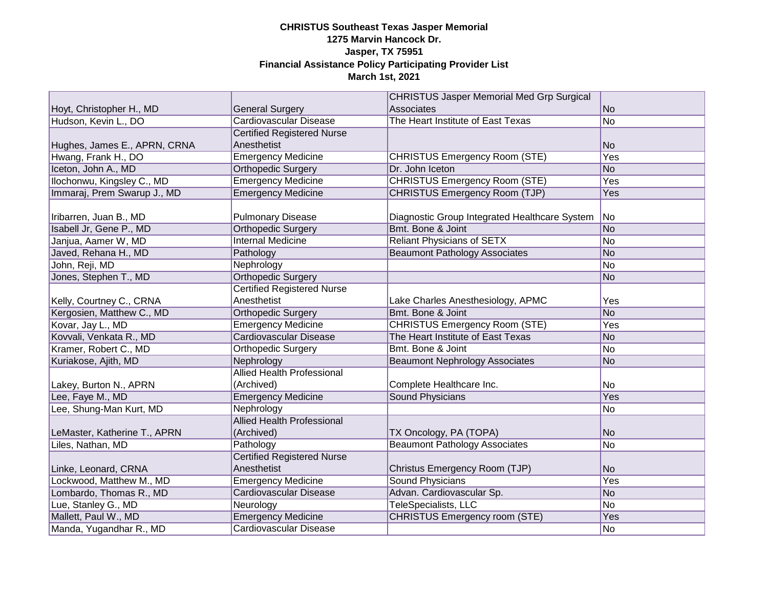|                              |                                   | <b>CHRISTUS Jasper Memorial Med Grp Surgical</b> |                |
|------------------------------|-----------------------------------|--------------------------------------------------|----------------|
| Hoyt, Christopher H., MD     | <b>General Surgery</b>            | Associates                                       | No             |
| Hudson, Kevin L., DO         | <b>Cardiovascular Disease</b>     | The Heart Institute of East Texas                | No.            |
|                              | <b>Certified Registered Nurse</b> |                                                  |                |
| Hughes, James E., APRN, CRNA | Anesthetist                       |                                                  | No.            |
| Hwang, Frank H., DO          | <b>Emergency Medicine</b>         | <b>CHRISTUS Emergency Room (STE)</b>             | Yes            |
| Iceton, John A., MD          | <b>Orthopedic Surgery</b>         | Dr. John Iceton                                  | No             |
| Ilochonwu, Kingsley C., MD   | <b>Emergency Medicine</b>         | <b>CHRISTUS Emergency Room (STE)</b>             | Yes            |
| Immaraj, Prem Swarup J., MD  | <b>Emergency Medicine</b>         | <b>CHRISTUS Emergency Room (TJP)</b>             | Yes            |
|                              |                                   |                                                  |                |
| Iribarren, Juan B., MD       | <b>Pulmonary Disease</b>          | Diagnostic Group Integrated Healthcare System    | N <sub>o</sub> |
| Isabell Jr, Gene P., MD      | <b>Orthopedic Surgery</b>         | Bmt. Bone & Joint                                | No             |
| Janjua, Aamer W, MD          | <b>Internal Medicine</b>          | <b>Reliant Physicians of SETX</b>                | No             |
| Javed, Rehana H., MD         | Pathology                         | <b>Beaumont Pathology Associates</b>             | No             |
| John, Reji, MD               | Nephrology                        |                                                  | No             |
| Jones, Stephen T., MD        | <b>Orthopedic Surgery</b>         |                                                  | No             |
|                              | <b>Certified Registered Nurse</b> |                                                  |                |
| Kelly, Courtney C., CRNA     | Anesthetist                       | Lake Charles Anesthesiology, APMC                | Yes            |
| Kergosien, Matthew C., MD    | <b>Orthopedic Surgery</b>         | Bmt. Bone & Joint                                | No             |
| Kovar, Jay L., MD            | <b>Emergency Medicine</b>         | <b>CHRISTUS Emergency Room (STE)</b>             | Yes            |
| Kovvali, Venkata R., MD      | <b>Cardiovascular Disease</b>     | The Heart Institute of East Texas                | No             |
| Kramer, Robert C., MD        | <b>Orthopedic Surgery</b>         | Bmt. Bone & Joint                                | No             |
| Kuriakose, Ajith, MD         | Nephrology                        | <b>Beaumont Nephrology Associates</b>            | No             |
|                              | <b>Allied Health Professional</b> |                                                  |                |
| Lakey, Burton N., APRN       | (Archived)                        | Complete Healthcare Inc.                         | No             |
| Lee, Faye M., MD             | <b>Emergency Medicine</b>         | <b>Sound Physicians</b>                          | Yes            |
| Lee, Shung-Man Kurt, MD      | Nephrology                        |                                                  | No             |
|                              | <b>Allied Health Professional</b> |                                                  |                |
| LeMaster, Katherine T., APRN | (Archived)                        | TX Oncology, PA (TOPA)                           | No             |
| Liles, Nathan, MD            | Pathology                         | <b>Beaumont Pathology Associates</b>             | No             |
|                              | <b>Certified Registered Nurse</b> |                                                  |                |
| Linke, Leonard, CRNA         | Anesthetist                       | Christus Emergency Room (TJP)                    | No.            |
| Lockwood, Matthew M., MD     | <b>Emergency Medicine</b>         | <b>Sound Physicians</b>                          | Yes            |
| Lombardo, Thomas R., MD      | <b>Cardiovascular Disease</b>     | Advan. Cardiovascular Sp.                        | No             |
| Lue, Stanley G., MD          | Neurology                         | TeleSpecialists, LLC                             | No             |
| Mallett, Paul W., MD         | <b>Emergency Medicine</b>         | <b>CHRISTUS Emergency room (STE)</b>             | Yes            |
| Manda, Yugandhar R., MD      | Cardiovascular Disease            |                                                  | No             |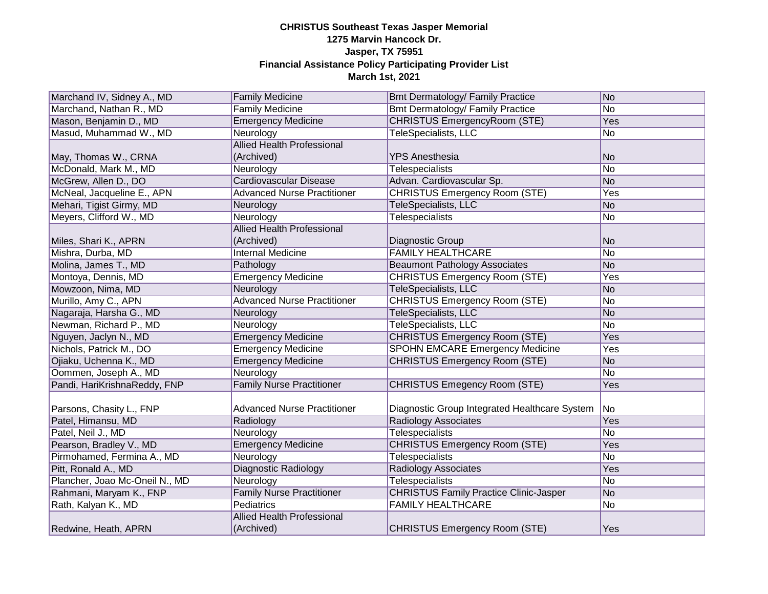| Marchand IV, Sidney A., MD     | <b>Family Medicine</b>             | <b>Bmt Dermatology/ Family Practice</b>       | No        |
|--------------------------------|------------------------------------|-----------------------------------------------|-----------|
| Marchand, Nathan R., MD        | <b>Family Medicine</b>             | <b>Bmt Dermatology/ Family Practice</b>       | No        |
| Mason, Benjamin D., MD         | <b>Emergency Medicine</b>          | <b>CHRISTUS EmergencyRoom (STE)</b>           | Yes       |
| Masud, Muhammad W., MD         | Neurology                          | TeleSpecialists, LLC                          | No        |
|                                | <b>Allied Health Professional</b>  |                                               |           |
| May, Thomas W., CRNA           | (Archived)                         | <b>YPS Anesthesia</b>                         | No        |
| McDonald, Mark M., MD          | Neurology                          | <b>Telespecialists</b>                        | No        |
| McGrew, Allen D., DO           | Cardiovascular Disease             | Advan. Cardiovascular Sp.                     | No        |
| McNeal, Jacqueline E., APN     | <b>Advanced Nurse Practitioner</b> | <b>CHRISTUS Emergency Room (STE)</b>          | Yes       |
| Mehari, Tigist Girmy, MD       | Neurology                          | <b>TeleSpecialists, LLC</b>                   | No        |
| Meyers, Clifford W., MD        | Neurology                          | <b>Telespecialists</b>                        | No        |
|                                | <b>Allied Health Professional</b>  |                                               |           |
| Miles, Shari K., APRN          | (Archived)                         | Diagnostic Group                              | No        |
| Mishra, Durba, MD              | <b>Internal Medicine</b>           | <b>FAMILY HEALTHCARE</b>                      | No        |
| Molina, James T., MD           | Pathology                          | <b>Beaumont Pathology Associates</b>          | No        |
| Montoya, Dennis, MD            | <b>Emergency Medicine</b>          | <b>CHRISTUS Emergency Room (STE)</b>          | Yes       |
| Mowzoon, Nima, MD              | Neurology                          | <b>TeleSpecialists, LLC</b>                   | No        |
| Murillo, Amy C., APN           | <b>Advanced Nurse Practitioner</b> | <b>CHRISTUS Emergency Room (STE)</b>          | No        |
| Nagaraja, Harsha G., MD        | Neurology                          | TeleSpecialists, LLC                          | No        |
| Newman, Richard P., MD         | Neurology                          | <b>TeleSpecialists, LLC</b>                   | No        |
| Nguyen, Jaclyn N., MD          | <b>Emergency Medicine</b>          | <b>CHRISTUS Emergency Room (STE)</b>          | Yes       |
| Nichols, Patrick M., DO        | <b>Emergency Medicine</b>          | <b>SPOHN EMCARE Emergency Medicine</b>        | Yes       |
| Ojiaku, Uchenna K., MD         | <b>Emergency Medicine</b>          | <b>CHRISTUS Emergency Room (STE)</b>          | No        |
| Oommen, Joseph A., MD          | Neurology                          |                                               | No        |
| Pandi, HariKrishnaReddy, FNP   | <b>Family Nurse Practitioner</b>   | <b>CHRISTUS Emegency Room (STE)</b>           | Yes       |
|                                |                                    |                                               |           |
| Parsons, Chasity L., FNP       | <b>Advanced Nurse Practitioner</b> | Diagnostic Group Integrated Healthcare System | <b>No</b> |
| Patel, Himansu, MD             | Radiology                          | <b>Radiology Associates</b>                   | Yes       |
| Patel, Neil J., MD             | Neurology                          | <b>Telespecialists</b>                        | No        |
| Pearson, Bradley V., MD        | <b>Emergency Medicine</b>          | <b>CHRISTUS Emergency Room (STE)</b>          | Yes       |
| Pirmohamed, Fermina A., MD     | Neurology                          | <b>Telespecialists</b>                        | No        |
| Pitt, Ronald A., MD            | <b>Diagnostic Radiology</b>        | <b>Radiology Associates</b>                   | Yes       |
| Plancher, Joao Mc-Oneil N., MD | Neurology                          | <b>Telespecialists</b>                        | No        |
| Rahmani, Maryam K., FNP        | <b>Family Nurse Practitioner</b>   | <b>CHRISTUS Family Practice Clinic-Jasper</b> | No        |
| Rath, Kalyan K., MD            | Pediatrics                         | <b>FAMILY HEALTHCARE</b>                      | No        |
|                                | <b>Allied Health Professional</b>  |                                               |           |
| Redwine, Heath, APRN           | (Archived)                         | <b>CHRISTUS Emergency Room (STE)</b>          | Yes       |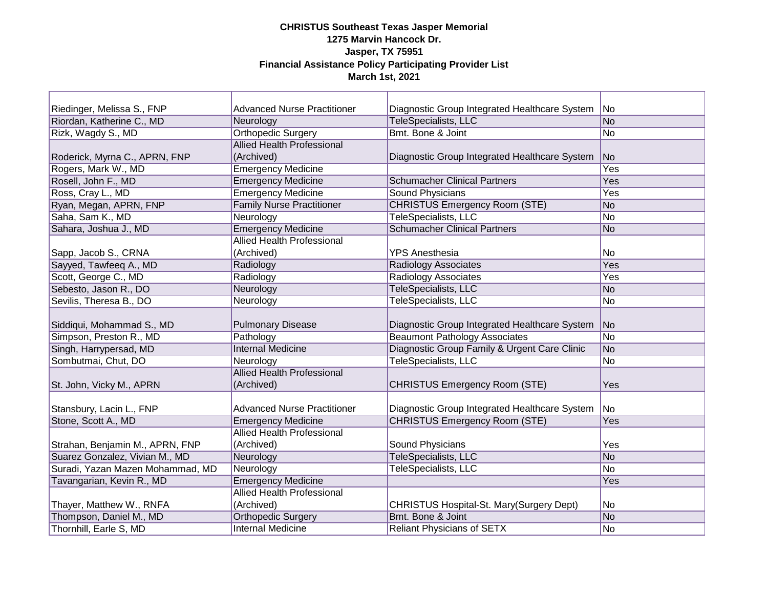| Riedinger, Melissa S., FNP       | <b>Advanced Nurse Practitioner</b> | Diagnostic Group Integrated Healthcare System | No               |
|----------------------------------|------------------------------------|-----------------------------------------------|------------------|
| Riordan, Katherine C., MD        | Neurology                          | <b>TeleSpecialists, LLC</b>                   | No               |
| Rizk, Wagdy S., MD               | <b>Orthopedic Surgery</b>          | Bmt. Bone & Joint                             | No               |
|                                  | <b>Allied Health Professional</b>  |                                               |                  |
| Roderick, Myrna C., APRN, FNP    | (Archived)                         | Diagnostic Group Integrated Healthcare System | No               |
| Rogers, Mark W., MD              | <b>Emergency Medicine</b>          |                                               | $\overline{Yes}$ |
| Rosell, John F., MD              | <b>Emergency Medicine</b>          | <b>Schumacher Clinical Partners</b>           | Yes              |
| Ross, Cray L., MD                | <b>Emergency Medicine</b>          | Sound Physicians                              | Yes              |
| Ryan, Megan, APRN, FNP           | <b>Family Nurse Practitioner</b>   | <b>CHRISTUS Emergency Room (STE)</b>          | No               |
| Saha, Sam K., MD                 | Neurology                          | <b>TeleSpecialists, LLC</b>                   | No               |
| Sahara, Joshua J., MD            | <b>Emergency Medicine</b>          | <b>Schumacher Clinical Partners</b>           | No               |
|                                  | <b>Allied Health Professional</b>  |                                               |                  |
| Sapp, Jacob S., CRNA             | (Archived)                         | <b>YPS Anesthesia</b>                         | No               |
| Sayyed, Tawfeeq A., MD           | Radiology                          | <b>Radiology Associates</b>                   | Yes              |
| Scott, George C., MD             | Radiology                          | <b>Radiology Associates</b>                   | Yes              |
| Sebesto, Jason R., DO            | Neurology                          | <b>TeleSpecialists, LLC</b>                   | No               |
| Sevilis, Theresa B., DO          | Neurology                          | <b>TeleSpecialists, LLC</b>                   | No               |
|                                  |                                    |                                               |                  |
| Siddiqui, Mohammad S., MD        | <b>Pulmonary Disease</b>           | Diagnostic Group Integrated Healthcare System | No               |
| Simpson, Preston R., MD          | Pathology                          | <b>Beaumont Pathology Associates</b>          | No               |
| Singh, Harrypersad, MD           | <b>Internal Medicine</b>           | Diagnostic Group Family & Urgent Care Clinic  | No               |
| Sombutmai, Chut, DO              | Neurology                          | TeleSpecialists, LLC                          | No               |
|                                  | <b>Allied Health Professional</b>  |                                               |                  |
| St. John, Vicky M., APRN         | (Archived)                         | <b>CHRISTUS Emergency Room (STE)</b>          | Yes              |
|                                  |                                    |                                               |                  |
| Stansbury, Lacin L., FNP         | <b>Advanced Nurse Practitioner</b> | Diagnostic Group Integrated Healthcare System | No               |
| Stone, Scott A., MD              | <b>Emergency Medicine</b>          | <b>CHRISTUS Emergency Room (STE)</b>          | Yes              |
|                                  | <b>Allied Health Professional</b>  |                                               |                  |
| Strahan, Benjamin M., APRN, FNP  | (Archived)                         | Sound Physicians                              | Yes              |
| Suarez Gonzalez, Vivian M., MD   | Neurology                          | <b>TeleSpecialists, LLC</b>                   | No               |
| Suradi, Yazan Mazen Mohammad, MD | Neurology                          | TeleSpecialists, LLC                          | No               |
| Tavangarian, Kevin R., MD        | <b>Emergency Medicine</b>          |                                               | Yes              |
|                                  | <b>Allied Health Professional</b>  |                                               |                  |
| Thayer, Matthew W., RNFA         | (Archived)                         | CHRISTUS Hospital-St. Mary(Surgery Dept)      | No               |
| Thompson, Daniel M., MD          | <b>Orthopedic Surgery</b>          | Bmt. Bone & Joint                             | No               |
| Thornhill, Earle S, MD           | <b>Internal Medicine</b>           | <b>Reliant Physicians of SETX</b>             | No               |